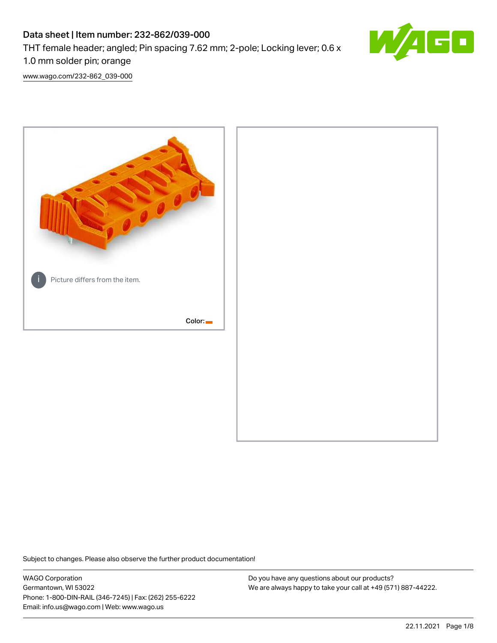# Data sheet | Item number: 232-862/039-000 THT female header; angled; Pin spacing 7.62 mm; 2-pole; Locking lever; 0.6 x 1.0 mm solder pin; orange



[www.wago.com/232-862\\_039-000](http://www.wago.com/232-862_039-000)



Subject to changes. Please also observe the further product documentation!

WAGO Corporation Germantown, WI 53022 Phone: 1-800-DIN-RAIL (346-7245) | Fax: (262) 255-6222 Email: info.us@wago.com | Web: www.wago.us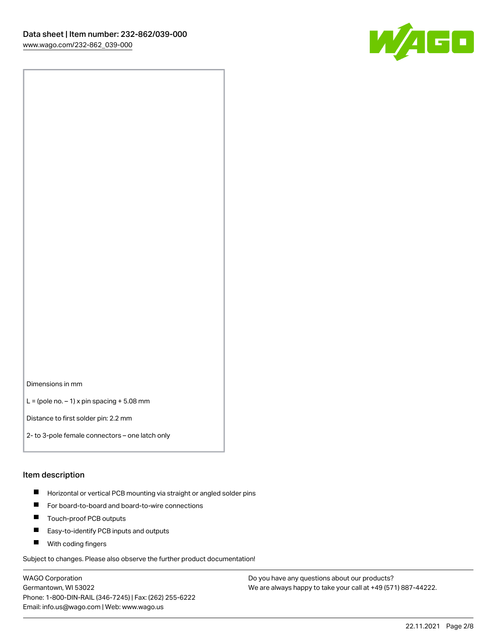

Dimensions in mm

 $L =$  (pole no.  $-1$ ) x pin spacing  $+5.08$  mm

Distance to first solder pin: 2.2 mm

2- to 3-pole female connectors – one latch only

#### Item description

- **Horizontal or vertical PCB mounting via straight or angled solder pins**
- For board-to-board and board-to-wire connections
- $\blacksquare$ Touch-proof PCB outputs
- $\blacksquare$ Easy-to-identify PCB inputs and outputs
- **Now With coding fingers**

Subject to changes. Please also observe the further product documentation!

WAGO Corporation Germantown, WI 53022 Phone: 1-800-DIN-RAIL (346-7245) | Fax: (262) 255-6222 Email: info.us@wago.com | Web: www.wago.us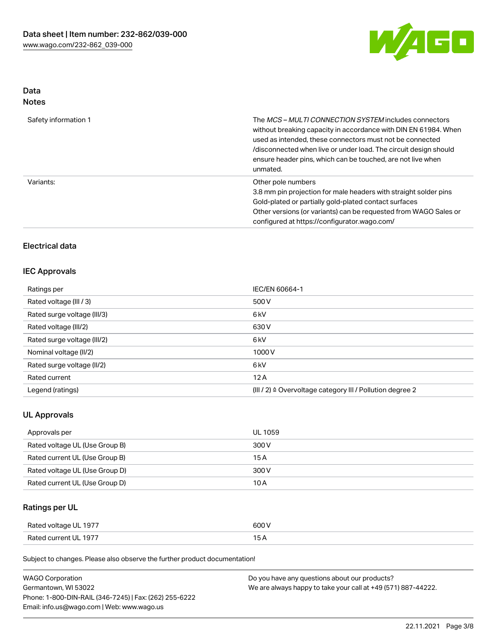

# Data

| Safety information 1 | The <i>MCS – MULTI CONNECTION SYSTEM</i> includes connectors<br>without breaking capacity in accordance with DIN EN 61984. When<br>used as intended, these connectors must not be connected<br>/disconnected when live or under load. The circuit design should<br>ensure header pins, which can be touched, are not live when<br>unmated. |
|----------------------|--------------------------------------------------------------------------------------------------------------------------------------------------------------------------------------------------------------------------------------------------------------------------------------------------------------------------------------------|
| Variants:            | Other pole numbers<br>3.8 mm pin projection for male headers with straight solder pins<br>Gold-plated or partially gold-plated contact surfaces<br>Other versions (or variants) can be requested from WAGO Sales or<br>configured at https://configurator.wago.com/                                                                        |

# Electrical data

## IEC Approvals

| Ratings per                 | IEC/EN 60664-1                                                       |
|-----------------------------|----------------------------------------------------------------------|
| Rated voltage (III / 3)     | 500 V                                                                |
| Rated surge voltage (III/3) | 6 <sub>k</sub> V                                                     |
| Rated voltage (III/2)       | 630 V                                                                |
| Rated surge voltage (III/2) | 6 <sub>k</sub> V                                                     |
| Nominal voltage (II/2)      | 1000V                                                                |
| Rated surge voltage (II/2)  | 6 <sub>k</sub> V                                                     |
| Rated current               | 12A                                                                  |
| Legend (ratings)            | (III / 2) $\triangleq$ Overvoltage category III / Pollution degree 2 |

## UL Approvals

| Approvals per                  | UL 1059 |
|--------------------------------|---------|
| Rated voltage UL (Use Group B) | 300 V   |
| Rated current UL (Use Group B) | 15 A    |
| Rated voltage UL (Use Group D) | 300 V   |
| Rated current UL (Use Group D) | 10 A    |

# Ratings per UL

| Rated voltage UL 1977 | 600 V |
|-----------------------|-------|
| Rated current UL 1977 |       |

Subject to changes. Please also observe the further product documentation!

| <b>WAGO Corporation</b>                                | Do you have any questions about our products?                 |
|--------------------------------------------------------|---------------------------------------------------------------|
| Germantown, WI 53022                                   | We are always happy to take your call at +49 (571) 887-44222. |
| Phone: 1-800-DIN-RAIL (346-7245)   Fax: (262) 255-6222 |                                                               |
| Email: info.us@wago.com   Web: www.wago.us             |                                                               |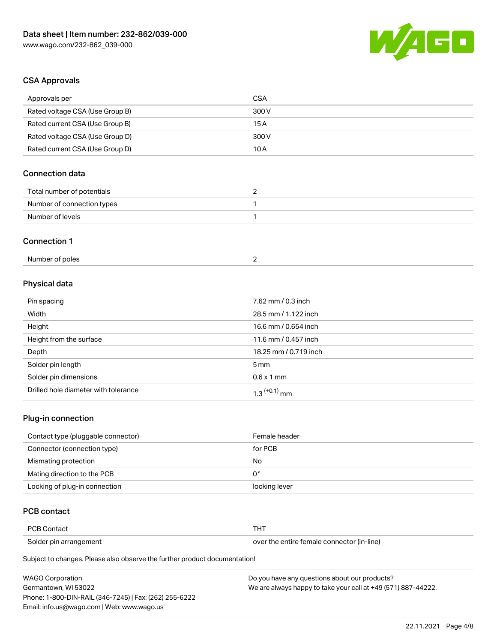

# CSA Approvals

| Approvals per                   | <b>CSA</b>            |  |
|---------------------------------|-----------------------|--|
| Rated voltage CSA (Use Group B) | 300V                  |  |
| Rated current CSA (Use Group B) | 15A                   |  |
| Rated voltage CSA (Use Group D) | 300V                  |  |
| Rated current CSA (Use Group D) | 10A                   |  |
| <b>Connection data</b>          |                       |  |
| Total number of potentials      | $\overline{2}$        |  |
| Number of connection types      | 1                     |  |
| Number of levels                | $\mathbf{1}$          |  |
| <b>Connection 1</b>             |                       |  |
| Number of poles                 | $\overline{2}$        |  |
| Physical data                   |                       |  |
| Pin spacing                     | 7.62 mm / 0.3 inch    |  |
| Width                           | 28.5 mm / 1.122 inch  |  |
| Height                          | 16.6 mm / 0.654 inch  |  |
| Height from the surface         | 11.6 mm / 0.457 inch  |  |
| Depth                           | 18.25 mm / 0.719 inch |  |
| Solder pin length               | 5 <sub>mm</sub>       |  |
| Solder pin dimensions           | $0.6 \times 1$ mm     |  |

## Plug-in connection

| Contact type (pluggable connector) | Female header |
|------------------------------------|---------------|
| Connector (connection type)        | for PCB       |
| Mismating protection               | No            |
| Mating direction to the PCB        | 0°            |
| Locking of plug-in connection      | locking lever |

## PCB contact

| <b>PCB Contact</b>     |                                            |
|------------------------|--------------------------------------------|
| Solder pin arrangement | over the entire female connector (in-line) |

Subject to changes. Please also observe the further product documentation!

Drilled hole diameter with tolerance  $1.3$   $(+0.1)$  mm

| <b>WAGO Corporation</b>                                | Do you have any questions about our products?                 |
|--------------------------------------------------------|---------------------------------------------------------------|
| Germantown. WI 53022                                   | We are always happy to take your call at +49 (571) 887-44222. |
| Phone: 1-800-DIN-RAIL (346-7245)   Fax: (262) 255-6222 |                                                               |
| Email: info.us@wago.com   Web: www.wago.us             |                                                               |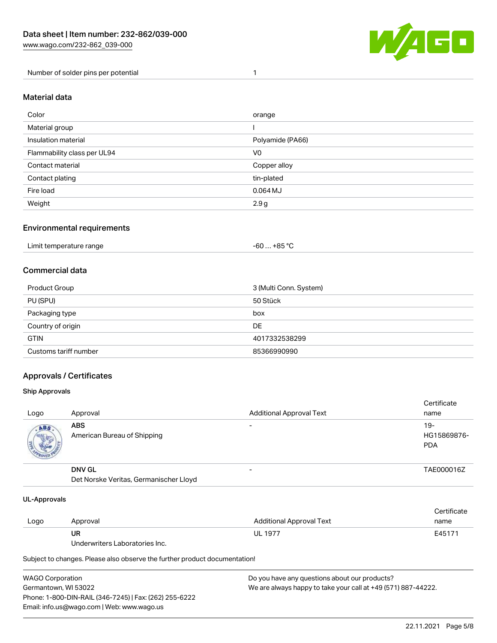

Number of solder pins per potential 1

#### Material data

| Color                       | orange           |
|-----------------------------|------------------|
| Material group              |                  |
| Insulation material         | Polyamide (PA66) |
| Flammability class per UL94 | V <sub>0</sub>   |
| Contact material            | Copper alloy     |
| Contact plating             | tin-plated       |
| Fire load                   | $0.064$ MJ       |
| Weight                      | 2.9g             |

### Environmental requirements

| Limit temperature range<br>. | . +85 °C<br>-60 |  |
|------------------------------|-----------------|--|
|------------------------------|-----------------|--|

## Commercial data

| Product Group         | 3 (Multi Conn. System) |
|-----------------------|------------------------|
| PU (SPU)              | 50 Stück               |
| Packaging type        | box                    |
| Country of origin     | DE                     |
| <b>GTIN</b>           | 4017332538299          |
| Customs tariff number | 85366990990            |

## Approvals / Certificates

#### Ship Approvals

| Logo       | Approval                                                | <b>Additional Approval Text</b> | Certificate<br>name                |
|------------|---------------------------------------------------------|---------------------------------|------------------------------------|
| <b>ABS</b> | <b>ABS</b><br>American Bureau of Shipping               |                                 | $19-$<br>HG15869876-<br><b>PDA</b> |
|            | <b>DNV GL</b><br>Det Norske Veritas, Germanischer Lloyd | -                               | TAE000016Z                         |

#### UL-Approvals

| Logo | Approval                       | Additional Approval Text | Certificate<br>name |
|------|--------------------------------|--------------------------|---------------------|
|      | UR                             | <b>UL 1977</b>           | E45171              |
|      | Underwriters Laboratories Inc. |                          |                     |

Subject to changes. Please also observe the further product documentation!

| WAGO Corporation                                       | Do you have any questions about our products?                 |
|--------------------------------------------------------|---------------------------------------------------------------|
| Germantown, WI 53022                                   | We are always happy to take your call at +49 (571) 887-44222. |
| Phone: 1-800-DIN-RAIL (346-7245)   Fax: (262) 255-6222 |                                                               |
| Email: info.us@wago.com   Web: www.wago.us             |                                                               |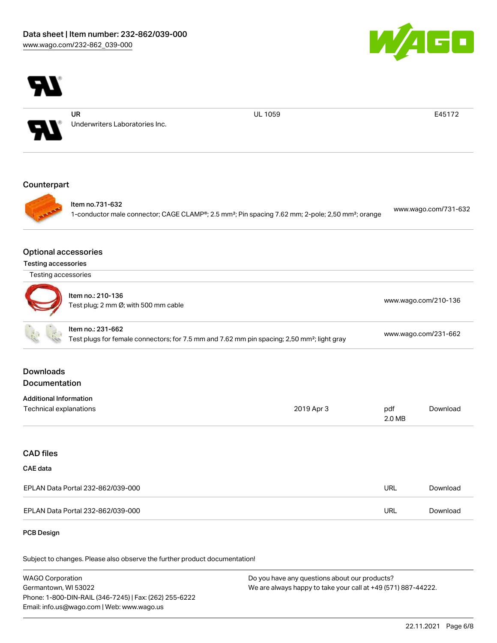



WAGO Corporation Germantown, WI 53022 Phone: 1-800-DIN-RAIL (346-7245) | Fax: (262) 255-6222 Email: info.us@wago.com | Web: www.wago.us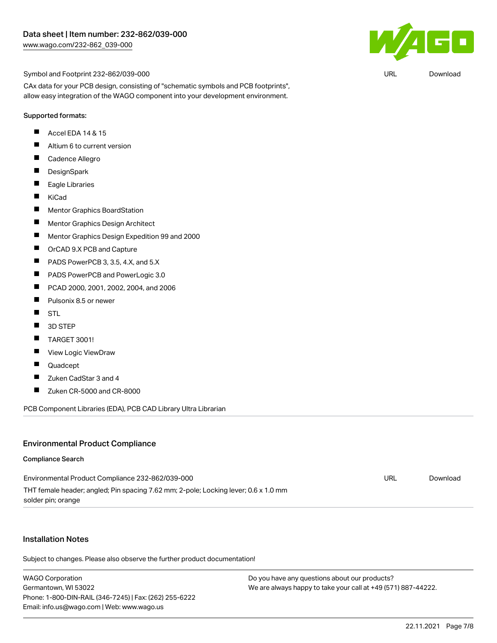

URL [Download](https://www.wago.com/global/d/UltraLibrarian_URLS_232-862_039-000)

Symbol and Footprint 232-862/039-000

CAx data for your PCB design, consisting of "schematic symbols and PCB footprints", allow easy integration of the WAGO component into your development environment.

#### Supported formats:

- П Accel EDA 14 & 15
- $\blacksquare$ Altium 6 to current version
- $\blacksquare$ Cadence Allegro
- $\blacksquare$ **DesignSpark**
- $\blacksquare$ Eagle Libraries
- $\blacksquare$ KiCad
- $\blacksquare$ Mentor Graphics BoardStation
- $\blacksquare$ Mentor Graphics Design Architect
- $\blacksquare$ Mentor Graphics Design Expedition 99 and 2000
- $\blacksquare$ OrCAD 9.X PCB and Capture
- П PADS PowerPCB 3, 3.5, 4.X, and 5.X
- $\blacksquare$ PADS PowerPCB and PowerLogic 3.0
- $\blacksquare$ PCAD 2000, 2001, 2002, 2004, and 2006
- $\blacksquare$ Pulsonix 8.5 or newer
- $\blacksquare$ **STL**
- $\blacksquare$ 3D STEP
- $\blacksquare$ TARGET 3001!
- $\blacksquare$ View Logic ViewDraw
- П Quadcept
- $\blacksquare$ Zuken CadStar 3 and 4
- $\blacksquare$ Zuken CR-5000 and CR-8000

PCB Component Libraries (EDA), PCB CAD Library Ultra Librarian

#### Environmental Product Compliance

#### Compliance Search

| Environmental Product Compliance 232-862/039-000                                    | URL | Download |
|-------------------------------------------------------------------------------------|-----|----------|
| THT female header; angled; Pin spacing 7.62 mm; 2-pole; Locking lever; 0.6 x 1.0 mm |     |          |
| solder pin; orange                                                                  |     |          |

#### Installation Notes

Subject to changes. Please also observe the further product documentation!

WAGO Corporation Germantown, WI 53022 Phone: 1-800-DIN-RAIL (346-7245) | Fax: (262) 255-6222 Email: info.us@wago.com | Web: www.wago.us